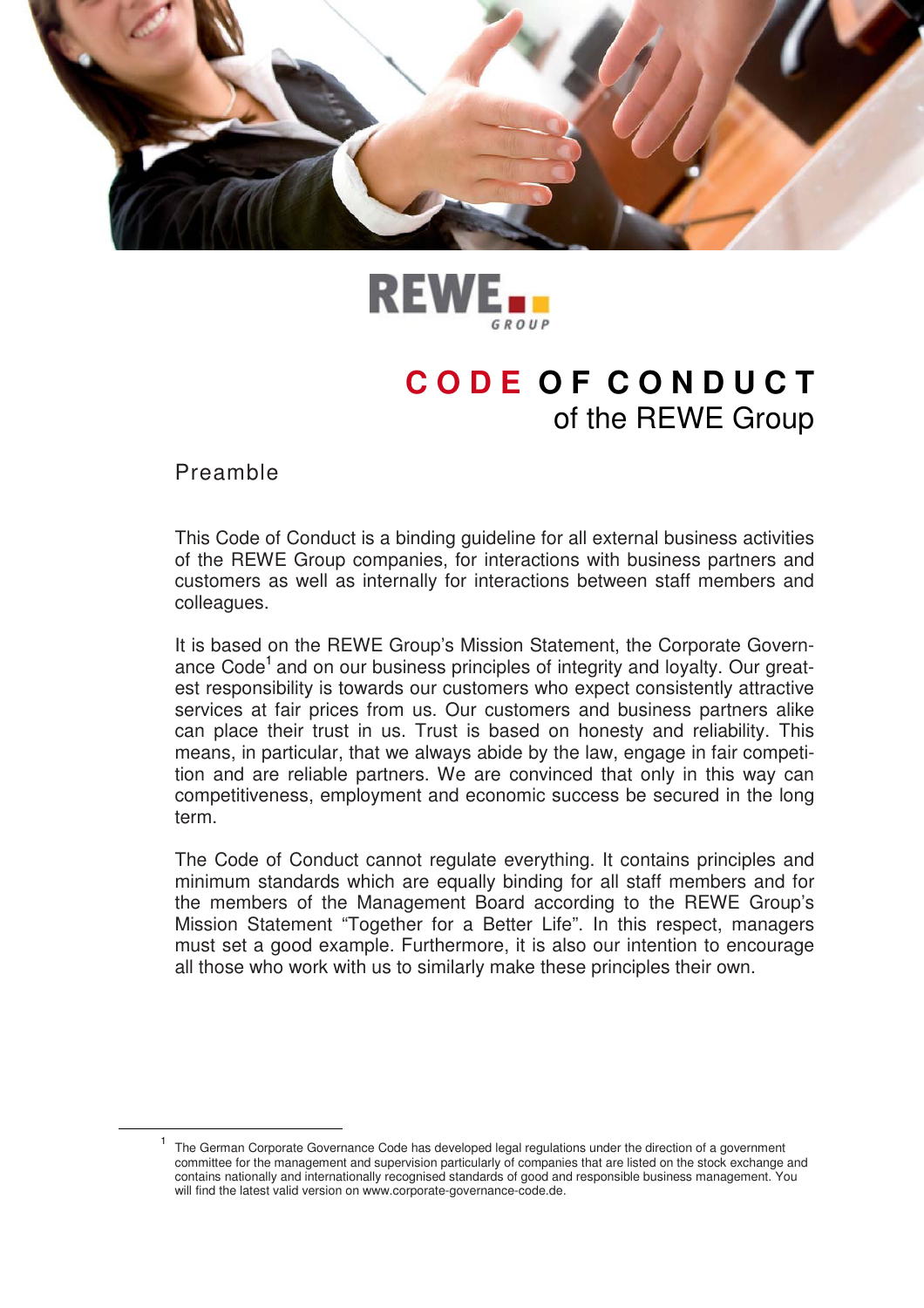



# **C O D E O F C O N D U C T**  of the REWE Group

Preamble

 $\overline{a}$ 

This Code of Conduct is a binding guideline for all external business activities of the REWE Group companies, for interactions with business partners and customers as well as internally for interactions between staff members and colleagues.

It is based on the REWE Group's Mission Statement, the Corporate Governance Code<sup>1</sup> and on our business principles of integrity and loyalty. Our greatest responsibility is towards our customers who expect consistently attractive services at fair prices from us. Our customers and business partners alike can place their trust in us. Trust is based on honesty and reliability. This means, in particular, that we always abide by the law, engage in fair competition and are reliable partners. We are convinced that only in this way can competitiveness, employment and economic success be secured in the long term.

The Code of Conduct cannot regulate everything. It contains principles and minimum standards which are equally binding for all staff members and for the members of the Management Board according to the REWE Group's Mission Statement "Together for a Better Life". In this respect, managers must set a good example. Furthermore, it is also our intention to encourage all those who work with us to similarly make these principles their own.

<sup>1</sup> The German Corporate Governance Code has developed legal regulations under the direction of a government committee for the management and supervision particularly of companies that are listed on the stock exchange and contains nationally and internationally recognised standards of good and responsible business management. You will find the latest valid version on www.corporate-governance-code.de.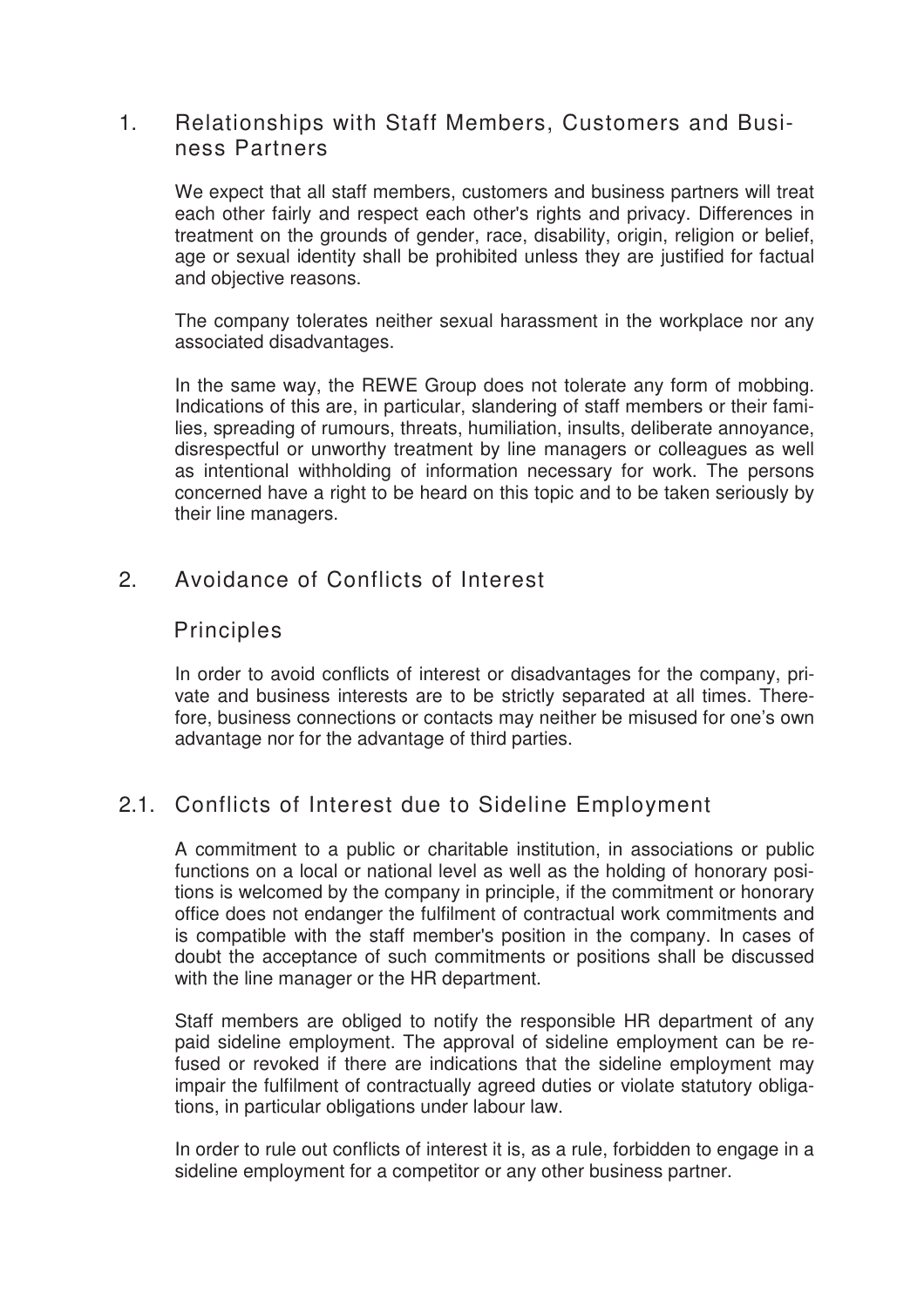#### 1. Relationships with Staff Members, Customers and Business Partners

We expect that all staff members, customers and business partners will treat each other fairly and respect each other's rights and privacy. Differences in treatment on the grounds of gender, race, disability, origin, religion or belief, age or sexual identity shall be prohibited unless they are justified for factual and objective reasons.

The company tolerates neither sexual harassment in the workplace nor any associated disadvantages.

In the same way, the REWE Group does not tolerate any form of mobbing. Indications of this are, in particular, slandering of staff members or their families, spreading of rumours, threats, humiliation, insults, deliberate annoyance, disrespectful or unworthy treatment by line managers or colleagues as well as intentional withholding of information necessary for work. The persons concerned have a right to be heard on this topic and to be taken seriously by their line managers.

# 2. Avoidance of Conflicts of Interest

#### Principles

In order to avoid conflicts of interest or disadvantages for the company, private and business interests are to be strictly separated at all times. Therefore, business connections or contacts may neither be misused for one's own advantage nor for the advantage of third parties.

# 2.1. Conflicts of Interest due to Sideline Employment

A commitment to a public or charitable institution, in associations or public functions on a local or national level as well as the holding of honorary positions is welcomed by the company in principle, if the commitment or honorary office does not endanger the fulfilment of contractual work commitments and is compatible with the staff member's position in the company. In cases of doubt the acceptance of such commitments or positions shall be discussed with the line manager or the HR department.

Staff members are obliged to notify the responsible HR department of any paid sideline employment. The approval of sideline employment can be refused or revoked if there are indications that the sideline employment may impair the fulfilment of contractually agreed duties or violate statutory obligations, in particular obligations under labour law.

In order to rule out conflicts of interest it is, as a rule, forbidden to engage in a sideline employment for a competitor or any other business partner.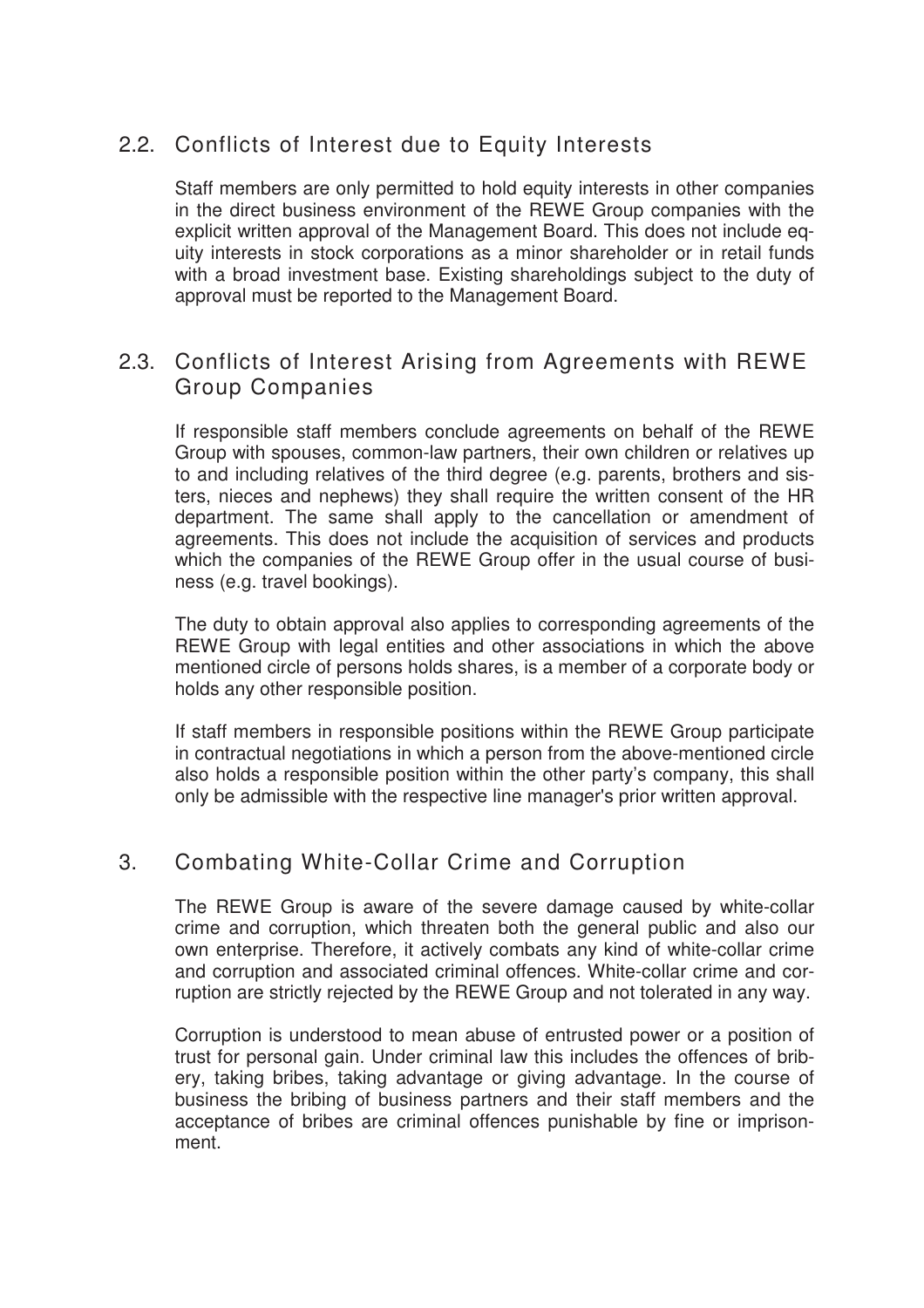# 2.2. Conflicts of Interest due to Equity Interests

Staff members are only permitted to hold equity interests in other companies in the direct business environment of the REWE Group companies with the explicit written approval of the Management Board. This does not include equity interests in stock corporations as a minor shareholder or in retail funds with a broad investment base. Existing shareholdings subject to the duty of approval must be reported to the Management Board.

## 2.3. Conflicts of Interest Arising from Agreements with REWE Group Companies

If responsible staff members conclude agreements on behalf of the REWE Group with spouses, common-law partners, their own children or relatives up to and including relatives of the third degree (e.g. parents, brothers and sisters, nieces and nephews) they shall require the written consent of the HR department. The same shall apply to the cancellation or amendment of agreements. This does not include the acquisition of services and products which the companies of the REWE Group offer in the usual course of business (e.g. travel bookings).

The duty to obtain approval also applies to corresponding agreements of the REWE Group with legal entities and other associations in which the above mentioned circle of persons holds shares, is a member of a corporate body or holds any other responsible position.

If staff members in responsible positions within the REWE Group participate in contractual negotiations in which a person from the above-mentioned circle also holds a responsible position within the other party's company, this shall only be admissible with the respective line manager's prior written approval.

### 3. Combating White-Collar Crime and Corruption

The REWE Group is aware of the severe damage caused by white-collar crime and corruption, which threaten both the general public and also our own enterprise. Therefore, it actively combats any kind of white-collar crime and corruption and associated criminal offences. White-collar crime and corruption are strictly rejected by the REWE Group and not tolerated in any way.

Corruption is understood to mean abuse of entrusted power or a position of trust for personal gain. Under criminal law this includes the offences of bribery, taking bribes, taking advantage or giving advantage. In the course of business the bribing of business partners and their staff members and the acceptance of bribes are criminal offences punishable by fine or imprisonment.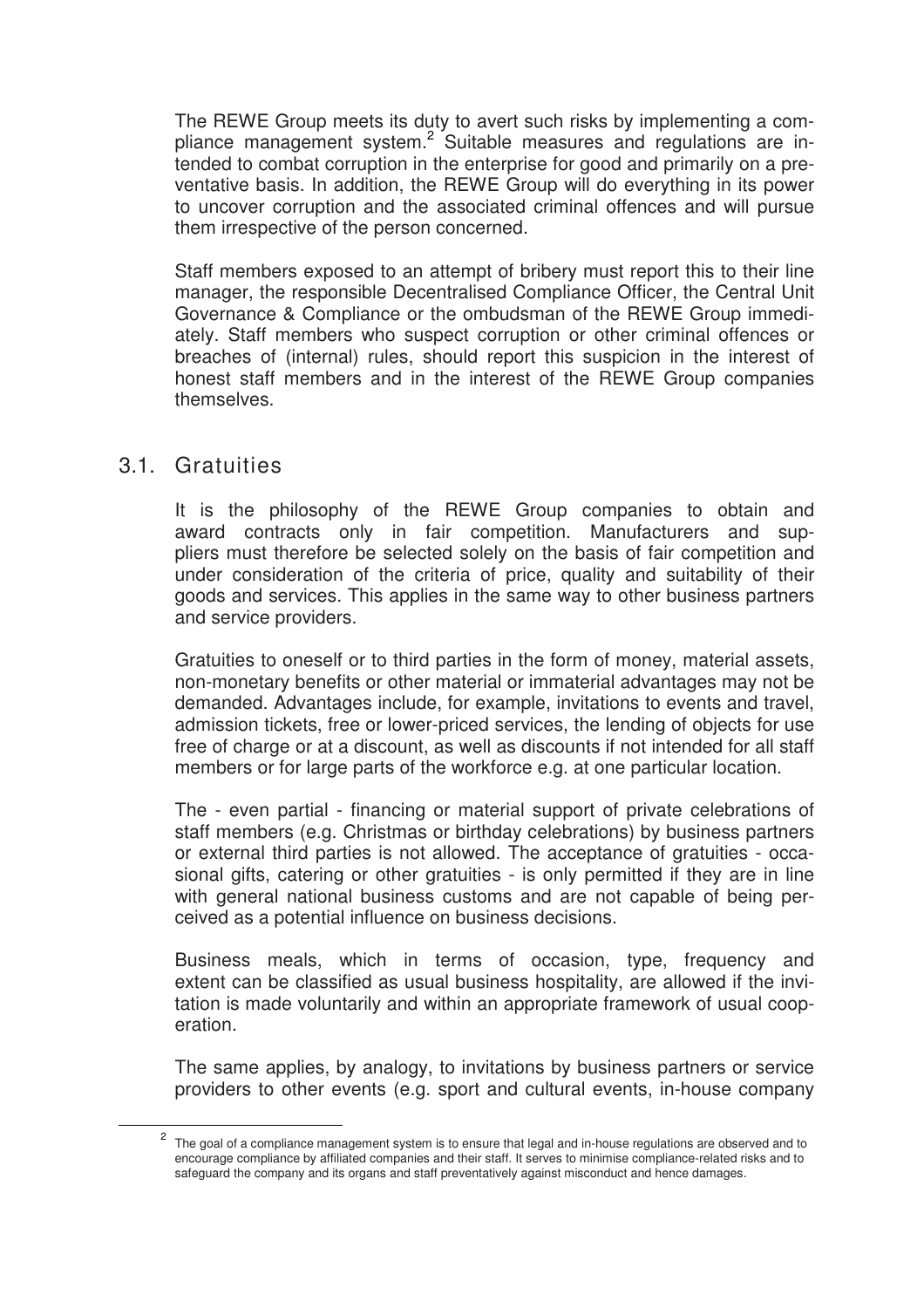The REWE Group meets its duty to avert such risks by implementing a compliance management system.<sup>2</sup> Suitable measures and regulations are intended to combat corruption in the enterprise for good and primarily on a preventative basis. In addition, the REWE Group will do everything in its power to uncover corruption and the associated criminal offences and will pursue them irrespective of the person concerned.

Staff members exposed to an attempt of bribery must report this to their line manager, the responsible Decentralised Compliance Officer, the Central Unit Governance & Compliance or the ombudsman of the REWE Group immediately. Staff members who suspect corruption or other criminal offences or breaches of (internal) rules, should report this suspicion in the interest of honest staff members and in the interest of the REWE Group companies themselves.

#### 3.1. Gratuities

 $\overline{a}$ 

It is the philosophy of the REWE Group companies to obtain and award contracts only in fair competition. Manufacturers and suppliers must therefore be selected solely on the basis of fair competition and under consideration of the criteria of price, quality and suitability of their goods and services. This applies in the same way to other business partners and service providers.

Gratuities to oneself or to third parties in the form of money, material assets, non-monetary benefits or other material or immaterial advantages may not be demanded. Advantages include, for example, invitations to events and travel, admission tickets, free or lower-priced services, the lending of objects for use free of charge or at a discount, as well as discounts if not intended for all staff members or for large parts of the workforce e.g. at one particular location.

The - even partial - financing or material support of private celebrations of staff members (e.g. Christmas or birthday celebrations) by business partners or external third parties is not allowed. The acceptance of gratuities - occasional gifts, catering or other gratuities - is only permitted if they are in line with general national business customs and are not capable of being perceived as a potential influence on business decisions.

Business meals, which in terms of occasion, type, frequency and extent can be classified as usual business hospitality, are allowed if the invitation is made voluntarily and within an appropriate framework of usual cooperation.

The same applies, by analogy, to invitations by business partners or service providers to other events (e.g. sport and cultural events, in-house company

<sup>&</sup>lt;sup>2</sup> The goal of a compliance management system is to ensure that legal and in-house regulations are observed and to encourage compliance by affiliated companies and their staff. It serves to minimise compliance-related risks and to safeguard the company and its organs and staff preventatively against misconduct and hence damages.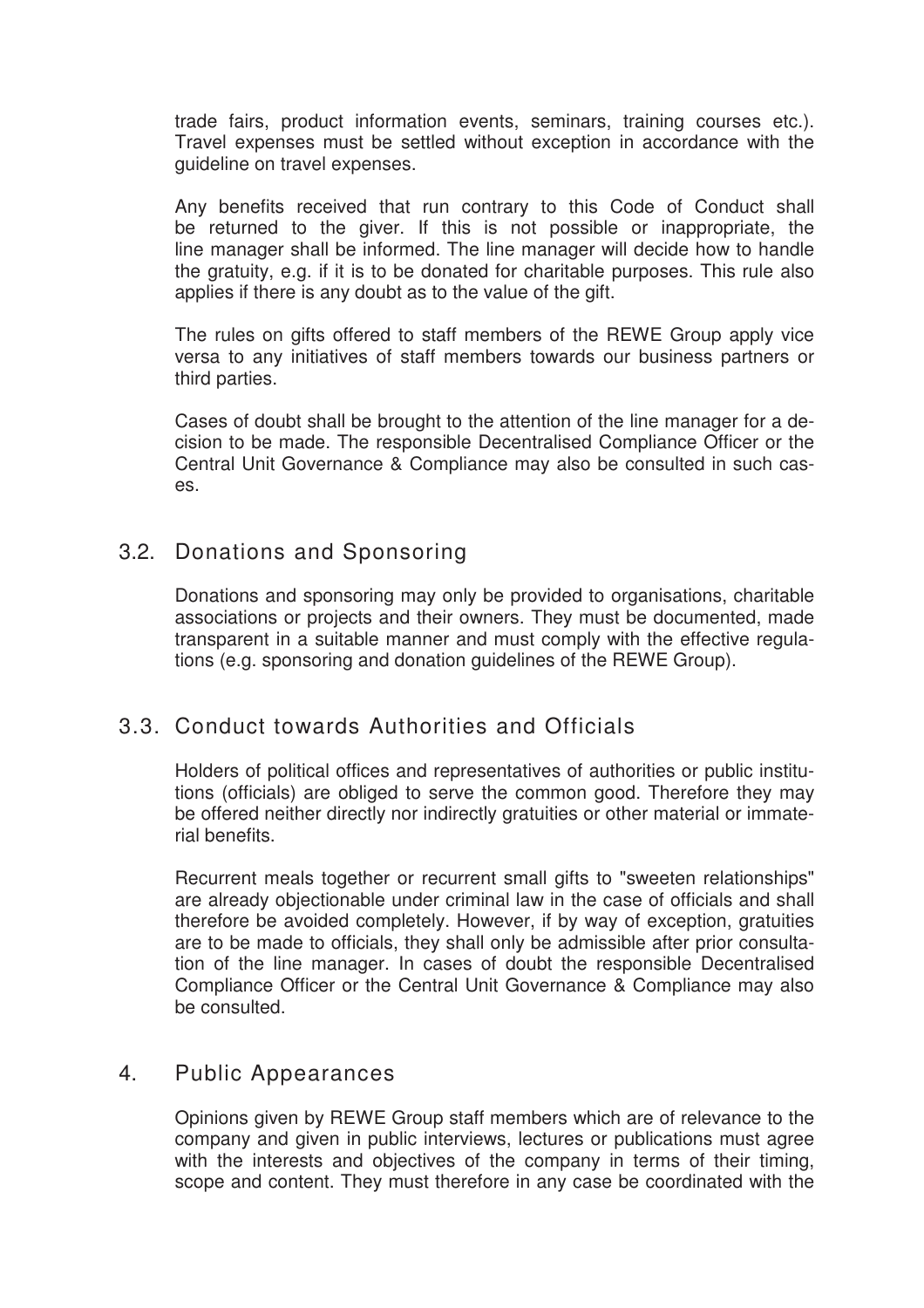trade fairs, product information events, seminars, training courses etc.). Travel expenses must be settled without exception in accordance with the guideline on travel expenses.

Any benefits received that run contrary to this Code of Conduct shall be returned to the giver. If this is not possible or inappropriate, the line manager shall be informed. The line manager will decide how to handle the gratuity, e.g. if it is to be donated for charitable purposes. This rule also applies if there is any doubt as to the value of the gift.

The rules on gifts offered to staff members of the REWE Group apply vice versa to any initiatives of staff members towards our business partners or third parties.

Cases of doubt shall be brought to the attention of the line manager for a decision to be made. The responsible Decentralised Compliance Officer or the Central Unit Governance & Compliance may also be consulted in such cases.

### 3.2. Donations and Sponsoring

Donations and sponsoring may only be provided to organisations, charitable associations or projects and their owners. They must be documented, made transparent in a suitable manner and must comply with the effective regulations (e.g. sponsoring and donation guidelines of the REWE Group).

### 3.3. Conduct towards Authorities and Officials

Holders of political offices and representatives of authorities or public institutions (officials) are obliged to serve the common good. Therefore they may be offered neither directly nor indirectly gratuities or other material or immaterial benefits.

Recurrent meals together or recurrent small gifts to "sweeten relationships" are already objectionable under criminal law in the case of officials and shall therefore be avoided completely. However, if by way of exception, gratuities are to be made to officials, they shall only be admissible after prior consultation of the line manager. In cases of doubt the responsible Decentralised Compliance Officer or the Central Unit Governance & Compliance may also be consulted.

#### 4. Public Appearances

Opinions given by REWE Group staff members which are of relevance to the company and given in public interviews, lectures or publications must agree with the interests and objectives of the company in terms of their timing, scope and content. They must therefore in any case be coordinated with the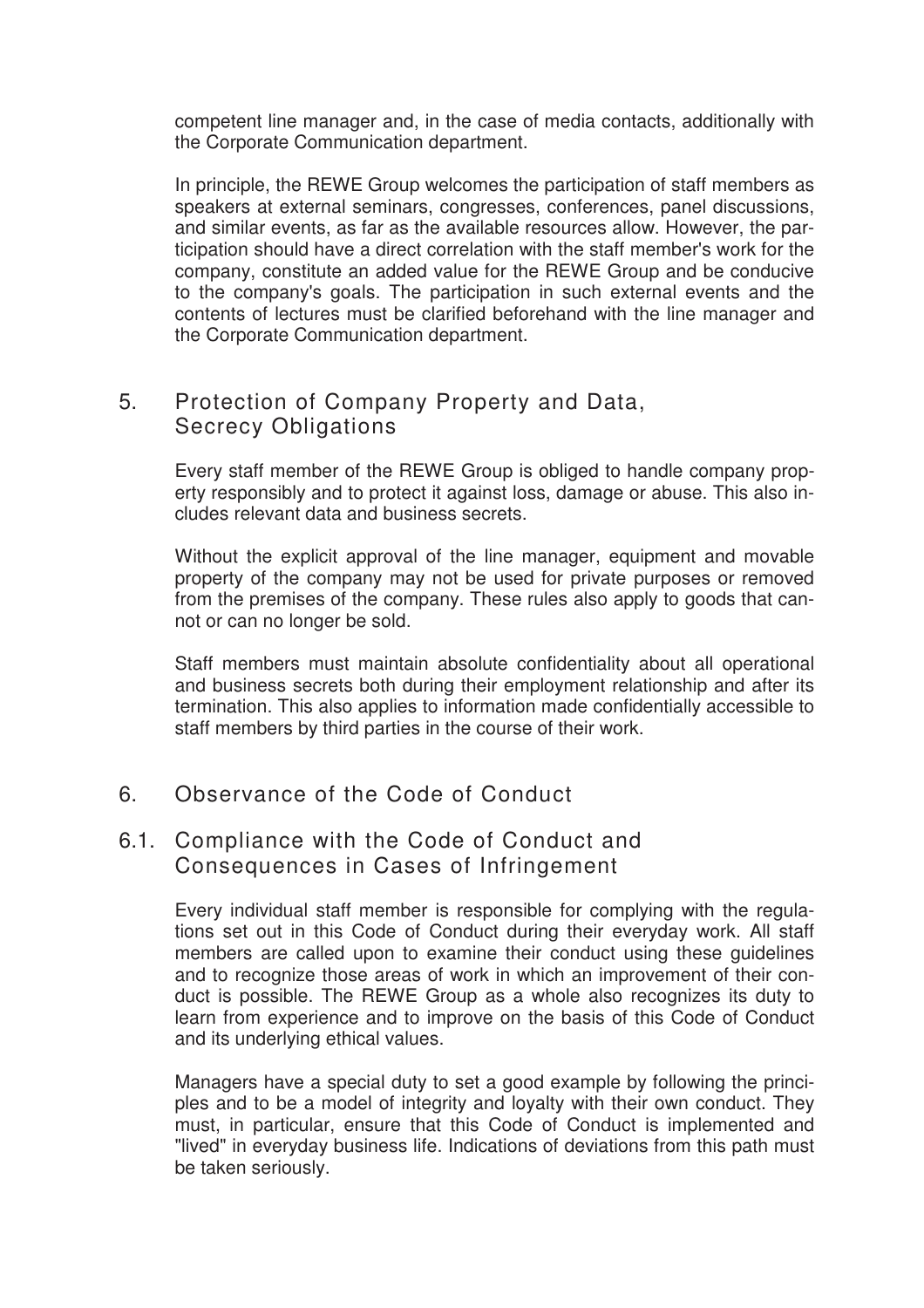competent line manager and, in the case of media contacts, additionally with the Corporate Communication department.

In principle, the REWE Group welcomes the participation of staff members as speakers at external seminars, congresses, conferences, panel discussions, and similar events, as far as the available resources allow. However, the participation should have a direct correlation with the staff member's work for the company, constitute an added value for the REWE Group and be conducive to the company's goals. The participation in such external events and the contents of lectures must be clarified beforehand with the line manager and the Corporate Communication department.

## 5. Protection of Company Property and Data, Secrecy Obligations

Every staff member of the REWE Group is obliged to handle company property responsibly and to protect it against loss, damage or abuse. This also includes relevant data and business secrets.

Without the explicit approval of the line manager, equipment and movable property of the company may not be used for private purposes or removed from the premises of the company. These rules also apply to goods that cannot or can no longer be sold.

Staff members must maintain absolute confidentiality about all operational and business secrets both during their employment relationship and after its termination. This also applies to information made confidentially accessible to staff members by third parties in the course of their work.

### 6. Observance of the Code of Conduct

#### 6.1. Compliance with the Code of Conduct and Consequences in Cases of Infringement

Every individual staff member is responsible for complying with the regulations set out in this Code of Conduct during their everyday work. All staff members are called upon to examine their conduct using these guidelines and to recognize those areas of work in which an improvement of their conduct is possible. The REWE Group as a whole also recognizes its duty to learn from experience and to improve on the basis of this Code of Conduct and its underlying ethical values.

Managers have a special duty to set a good example by following the principles and to be a model of integrity and loyalty with their own conduct. They must, in particular, ensure that this Code of Conduct is implemented and "lived" in everyday business life. Indications of deviations from this path must be taken seriously.